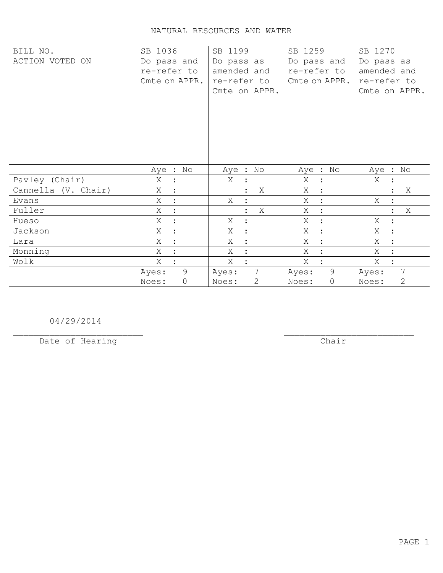## NATURAL RESOURCES AND WATER

| BILL NO.            | SB 1036               | SB 1199                  | SB 1259             | SB 1270                  |
|---------------------|-----------------------|--------------------------|---------------------|--------------------------|
| ACTION VOTED ON     | Do pass and           | Do pass as               | Do pass and         | Do pass as               |
|                     | re-refer to           | amended and              | re-refer to         | amended and              |
|                     | Cmte on APPR.         | re-refer to              | Cmte on APPR.       | re-refer to              |
|                     |                       | Cmte on APPR.            |                     | Cmte on APPR.            |
|                     |                       |                          |                     |                          |
|                     |                       |                          |                     |                          |
|                     |                       |                          |                     |                          |
|                     |                       |                          |                     |                          |
|                     |                       |                          |                     |                          |
|                     |                       |                          |                     |                          |
|                     | Aye : No              | Aye : No                 | Aye : No            |                          |
|                     |                       |                          |                     | Aye : No                 |
| Pavley (Chair)      | Χ<br>$\ddot{\cdot}$   | X                        | Χ<br>$\ddot{\cdot}$ | X                        |
| Cannella (V. Chair) | Χ                     | X                        | Χ                   | X                        |
| Evans               | Χ<br>$\ddot{\cdot}$   | Χ                        | Χ<br>$\ddot{\cdot}$ | Χ                        |
| Fuller              | Χ<br>$\ddot{\cdot}$   | X                        | Χ<br>$\ddot{\cdot}$ | X                        |
| Hueso               | Χ<br>$\ddot{\cdot}$   | X<br>$\ddot{\cdot}$      | Χ<br>$\ddot{\cdot}$ | Χ<br>$\ddot{\cdot}$      |
| Jackson             | Χ<br>$\bullet$        | Χ<br>$\ddot{\cdot}$      | Χ<br>$\cdot$        | X<br>$\ddot{\cdot}$      |
| Lara                | Χ                     | Χ<br>$\ddot{\cdot}$      | Χ<br>$\cdot$        | Χ<br>$\ddot{\cdot}$      |
| Monning             | Χ                     | Χ<br>$\ddot{\cdot}$      | Χ<br>$\ddot{\cdot}$ | Χ<br>$\ddot{\cdot}$      |
| Wolk                | Χ                     | X                        | X                   | Χ                        |
|                     | 9<br>Ayes:            | $7\phantom{.0}$<br>Ayes: | 9<br>Ayes:          | $7\phantom{.0}$<br>Ayes: |
|                     | $\mathsf{O}$<br>Noes: | 2<br>Noes:               | 0<br>Noes:          | $\mathbf{2}$<br>Noes:    |

04/29/2014

Date of Hearing

 $\overline{**chair**}$